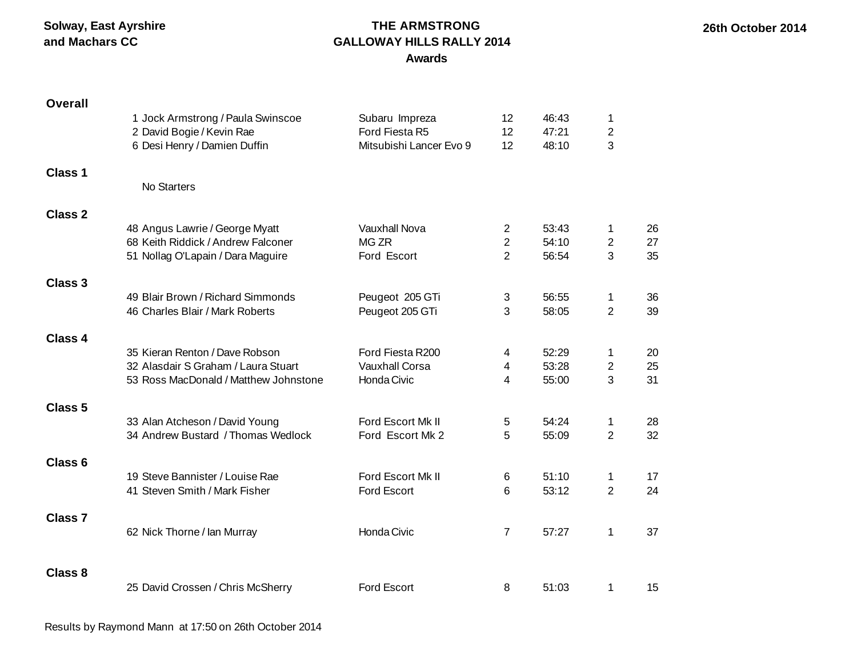#### **THE ARMSTRONG GALLOWAY HILLS RALLY 2014 Awards**

| <b>Overall</b>     |                                       |                         |                 |       |                |    |
|--------------------|---------------------------------------|-------------------------|-----------------|-------|----------------|----|
|                    | 1 Jock Armstrong / Paula Swinscoe     | Subaru Impreza          | 12 <sup>2</sup> | 46:43 | 1              |    |
|                    | 2 David Bogie / Kevin Rae             | Ford Fiesta R5          | 12              | 47:21 | $\overline{2}$ |    |
|                    | 6 Desi Henry / Damien Duffin          | Mitsubishi Lancer Evo 9 | 12              | 48:10 | 3              |    |
| <b>Class 1</b>     |                                       |                         |                 |       |                |    |
|                    | No Starters                           |                         |                 |       |                |    |
| <b>Class 2</b>     |                                       |                         |                 |       |                |    |
|                    | 48 Angus Lawrie / George Myatt        | Vauxhall Nova           | $\mathbf{2}$    | 53:43 | 1              | 26 |
|                    | 68 Keith Riddick / Andrew Falconer    | MG ZR                   | $\overline{2}$  | 54:10 | $\mathbf{2}$   | 27 |
|                    | 51 Nollag O'Lapain / Dara Maguire     | Ford Escort             | $\overline{2}$  | 56:54 | 3              | 35 |
| Class 3            |                                       |                         |                 |       |                |    |
|                    | 49 Blair Brown / Richard Simmonds     | Peugeot 205 GTi         | 3               | 56:55 | 1              | 36 |
|                    | 46 Charles Blair / Mark Roberts       | Peugeot 205 GTi         | 3               | 58:05 | $\overline{2}$ | 39 |
| <b>Class 4</b>     |                                       |                         |                 |       |                |    |
|                    | 35 Kieran Renton / Dave Robson        | Ford Fiesta R200        | 4               | 52:29 | 1              | 20 |
|                    | 32 Alasdair S Graham / Laura Stuart   | <b>Vauxhall Corsa</b>   | 4               | 53:28 | $\overline{2}$ | 25 |
|                    | 53 Ross MacDonald / Matthew Johnstone | Honda Civic             | 4               | 55:00 | 3              | 31 |
| <b>Class 5</b>     |                                       |                         |                 |       |                |    |
|                    | 33 Alan Atcheson / David Young        | Ford Escort Mk II       | 5               | 54:24 | 1              | 28 |
|                    | 34 Andrew Bustard / Thomas Wedlock    | Ford Escort Mk 2        | 5               | 55:09 | $\overline{2}$ | 32 |
| Class <sub>6</sub> |                                       |                         |                 |       |                |    |
|                    | 19 Steve Bannister / Louise Rae       | Ford Escort Mk II       | 6               | 51:10 | 1              | 17 |
|                    | 41 Steven Smith / Mark Fisher         | Ford Escort             | 6               | 53:12 | $\overline{2}$ | 24 |
| <b>Class 7</b>     |                                       |                         |                 |       |                |    |
|                    | 62 Nick Thorne / Ian Murray           | Honda Civic             | $\overline{7}$  | 57:27 | 1              | 37 |
|                    |                                       |                         |                 |       |                |    |
| <b>Class 8</b>     |                                       |                         |                 |       |                |    |
|                    | 25 David Crossen / Chris McSherry     | Ford Escort             | 8               | 51:03 | 1              | 15 |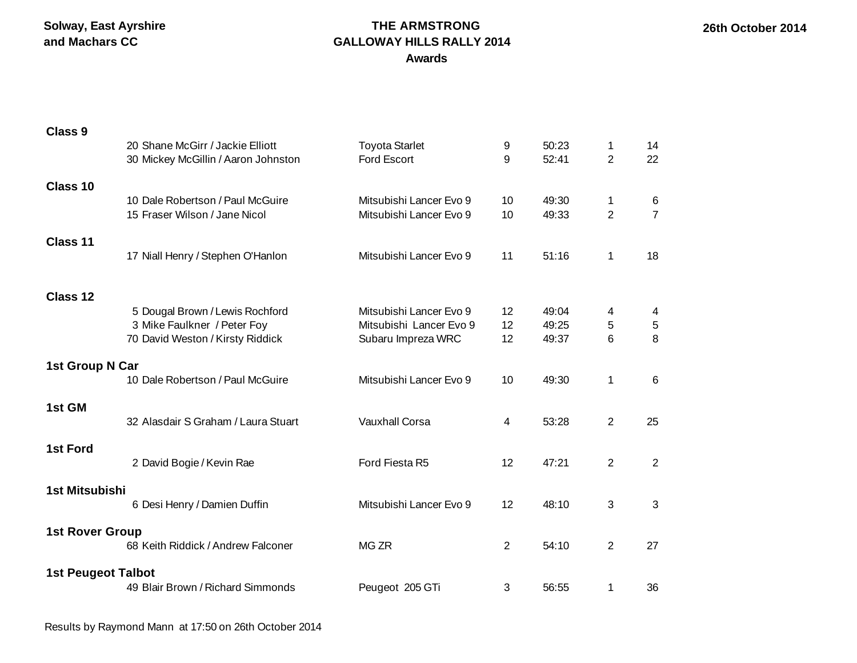#### **THE ARMSTRONG GALLOWAY HILLS RALLY 2014 Awards**

| <b>Class 9</b>            |                                                                         |                                                    |          |                |                     |                     |
|---------------------------|-------------------------------------------------------------------------|----------------------------------------------------|----------|----------------|---------------------|---------------------|
|                           | 20 Shane McGirr / Jackie Elliott<br>30 Mickey McGillin / Aaron Johnston | <b>Toyota Starlet</b><br><b>Ford Escort</b>        | 9<br>9   | 50:23<br>52:41 | 1<br>$\overline{2}$ | 14<br>22            |
| Class 10                  |                                                                         |                                                    |          |                |                     |                     |
|                           | 10 Dale Robertson / Paul McGuire<br>15 Fraser Wilson / Jane Nicol       | Mitsubishi Lancer Evo 9<br>Mitsubishi Lancer Evo 9 | 10<br>10 | 49:30<br>49:33 | 1<br>$\overline{2}$ | 6<br>$\overline{7}$ |
| Class 11                  |                                                                         |                                                    |          |                |                     |                     |
|                           | 17 Niall Henry / Stephen O'Hanlon                                       | Mitsubishi Lancer Evo 9                            | 11       | 51:16          | 1                   | 18                  |
| Class 12                  |                                                                         |                                                    |          |                |                     |                     |
|                           | 5 Dougal Brown / Lewis Rochford                                         | Mitsubishi Lancer Evo 9                            | 12       | 49:04          | 4                   | 4                   |
|                           | 3 Mike Faulkner / Peter Foy                                             | Mitsubishi Lancer Evo 9                            | 12       | 49:25          | 5                   | 5                   |
|                           | 70 David Weston / Kirsty Riddick                                        | Subaru Impreza WRC                                 | 12       | 49:37          | 6                   | 8                   |
| 1st Group N Car           |                                                                         |                                                    |          |                |                     |                     |
|                           | 10 Dale Robertson / Paul McGuire                                        | Mitsubishi Lancer Evo 9                            | 10       | 49:30          | 1                   | 6                   |
| 1st GM                    | 32 Alasdair S Graham / Laura Stuart                                     | <b>Vauxhall Corsa</b>                              |          |                |                     |                     |
|                           |                                                                         |                                                    | 4        | 53:28          | 2                   | 25                  |
| <b>1st Ford</b>           | 2 David Bogie / Kevin Rae                                               | Ford Fiesta R5                                     | 12       | 47:21          | 2                   | $\overline{2}$      |
| 1st Mitsubishi            |                                                                         |                                                    |          |                |                     |                     |
|                           | 6 Desi Henry / Damien Duffin                                            | Mitsubishi Lancer Evo 9                            | 12       | 48:10          | 3                   | $\mathbf{3}$        |
| <b>1st Rover Group</b>    |                                                                         |                                                    |          |                |                     |                     |
|                           | 68 Keith Riddick / Andrew Falconer                                      | MG ZR                                              | 2        | 54:10          | 2                   | 27                  |
| <b>1st Peugeot Talbot</b> | 49 Blair Brown / Richard Simmonds                                       | Peugeot 205 GTi                                    | 3        | 56:55          | 1                   | 36                  |
|                           |                                                                         |                                                    |          |                |                     |                     |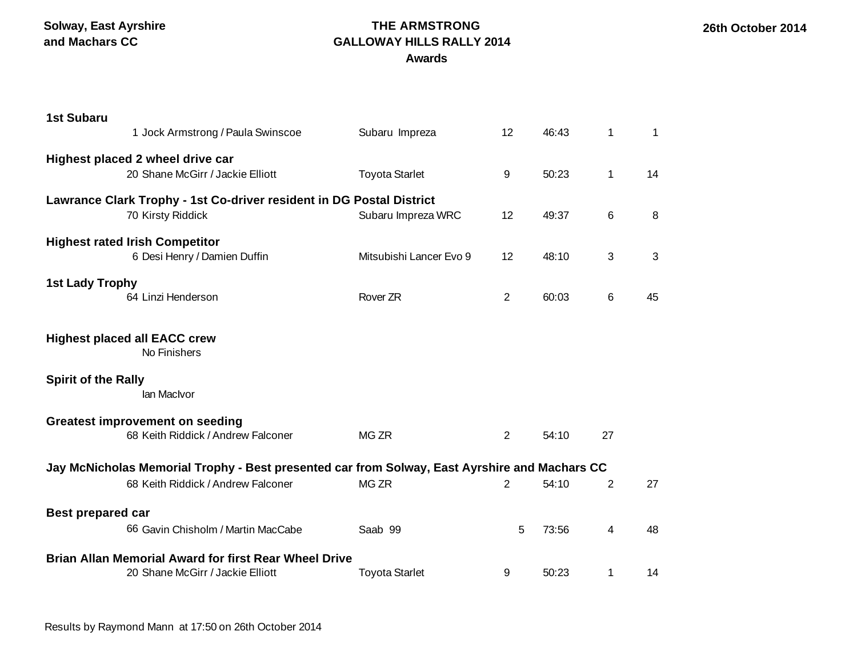#### **THE ARMSTRONG GALLOWAY HILLS RALLY 2014 Awards**

| <b>1st Subaru</b>          |                                                                                               |                         |       |       |                |    |
|----------------------------|-----------------------------------------------------------------------------------------------|-------------------------|-------|-------|----------------|----|
|                            | 1 Jock Armstrong / Paula Swinscoe                                                             | Subaru Impreza          | 12    | 46:43 | $\mathbf 1$    | 1  |
|                            | Highest placed 2 wheel drive car                                                              |                         |       |       |                |    |
|                            | 20 Shane McGirr / Jackie Elliott                                                              | <b>Toyota Starlet</b>   | $9\,$ | 50:23 | $\mathbf 1$    | 14 |
|                            | Lawrance Clark Trophy - 1st Co-driver resident in DG Postal District                          |                         |       |       |                |    |
|                            | 70 Kirsty Riddick                                                                             | Subaru Impreza WRC      | 12    | 49:37 | 6              | 8  |
|                            | <b>Highest rated Irish Competitor</b>                                                         |                         |       |       |                |    |
|                            | 6 Desi Henry / Damien Duffin                                                                  | Mitsubishi Lancer Evo 9 | 12    | 48:10 | 3              | 3  |
| <b>1st Lady Trophy</b>     |                                                                                               |                         |       |       |                |    |
|                            | 64 Linzi Henderson                                                                            | Rover ZR                | 2     | 60:03 | 6              | 45 |
|                            |                                                                                               |                         |       |       |                |    |
|                            | <b>Highest placed all EACC crew</b><br>No Finishers                                           |                         |       |       |                |    |
| <b>Spirit of the Rally</b> |                                                                                               |                         |       |       |                |    |
|                            | lan MacIvor                                                                                   |                         |       |       |                |    |
|                            | <b>Greatest improvement on seeding</b>                                                        |                         |       |       |                |    |
|                            | 68 Keith Riddick / Andrew Falconer                                                            | MG ZR                   | 2     | 54:10 | 27             |    |
|                            | Jay McNicholas Memorial Trophy - Best presented car from Solway, East Ayrshire and Machars CC |                         |       |       |                |    |
|                            | 68 Keith Riddick / Andrew Falconer                                                            | MG ZR                   | 2     | 54:10 | 2              | 27 |
| <b>Best prepared car</b>   |                                                                                               |                         |       |       |                |    |
|                            | 66 Gavin Chisholm / Martin MacCabe                                                            | Saab 99                 | 5     | 73:56 | $\overline{4}$ | 48 |
|                            | <b>Brian Allan Memorial Award for first Rear Wheel Drive</b>                                  |                         |       |       |                |    |
|                            | 20 Shane McGirr / Jackie Elliott                                                              | <b>Toyota Starlet</b>   | 9     | 50:23 | 1              | 14 |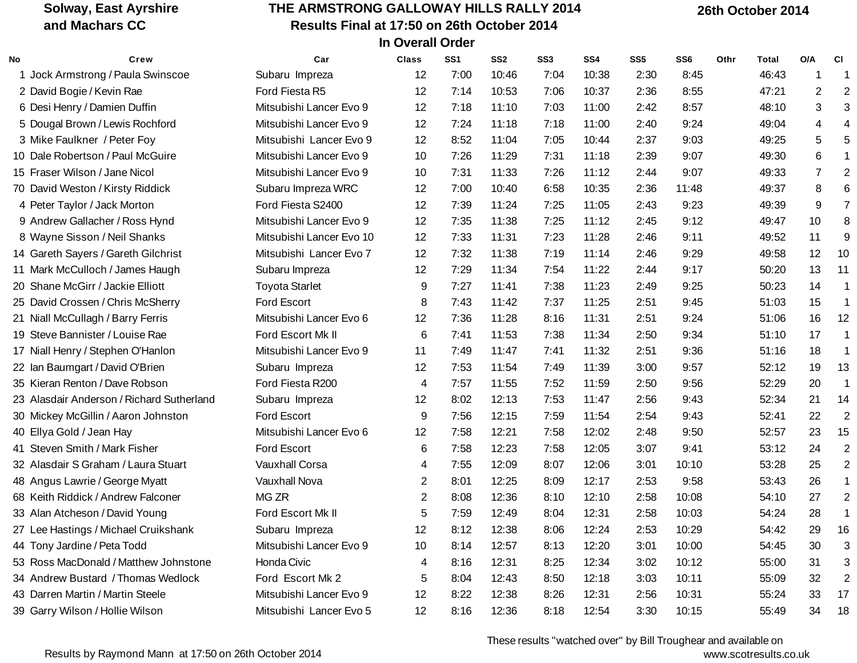## **THE ARMSTRONG GALLOWAY HILLS RALLY 2014 Results Final at 17:50 on 26th October 2014 In Overall Order**

 **26th October 2014**

| No | Crew                                      | Car                      | <b>Class</b>    | SS <sub>1</sub> | SS <sub>2</sub> | SS <sub>3</sub> | SS <sub>4</sub> | SS <sub>5</sub> | SS <sub>6</sub> | Othr | <b>Total</b> | O/A            | <b>CI</b>            |
|----|-------------------------------------------|--------------------------|-----------------|-----------------|-----------------|-----------------|-----------------|-----------------|-----------------|------|--------------|----------------|----------------------|
|    | 1 Jock Armstrong / Paula Swinscoe         | Subaru Impreza           | 12              | 7:00            | 10:46           | 7:04            | 10:38           | 2:30            | 8:45            |      | 46:43        | 1              | -1                   |
|    | 2 David Bogie / Kevin Rae                 | Ford Fiesta R5           | 12              | 7:14            | 10:53           | 7:06            | 10:37           | 2:36            | 8:55            |      | 47:21        | $\overline{2}$ | $\overline{2}$       |
|    | 6 Desi Henry / Damien Duffin              | Mitsubishi Lancer Evo 9  | 12              | 7:18            | 11:10           | 7:03            | 11:00           | 2:42            | 8:57            |      | 48:10        | 3              | 3                    |
|    | 5 Dougal Brown / Lewis Rochford           | Mitsubishi Lancer Evo 9  | 12              | 7:24            | 11:18           | 7:18            | 11:00           | 2:40            | 9:24            |      | 49:04        | 4              | 4                    |
|    | 3 Mike Faulkner / Peter Foy               | Mitsubishi Lancer Evo 9  | 12              | 8:52            | 11:04           | 7:05            | 10:44           | 2:37            | 9:03            |      | 49:25        | 5              | 5                    |
|    | 10 Dale Robertson / Paul McGuire          | Mitsubishi Lancer Evo 9  | 10              | 7:26            | 11:29           | 7:31            | 11:18           | 2:39            | 9:07            |      | 49:30        | $\,6$          | $\blacktriangleleft$ |
|    | 15 Fraser Wilson / Jane Nicol             | Mitsubishi Lancer Evo 9  | 10              | 7:31            | 11:33           | 7:26            | 11:12           | 2:44            | 9:07            |      | 49:33        | $\overline{7}$ | $\overline{2}$       |
|    | 70 David Weston / Kirsty Riddick          | Subaru Impreza WRC       | 12              | 7:00            | 10:40           | 6:58            | 10:35           | 2:36            | 11:48           |      | 49:37        | 8              | 6                    |
|    | 4 Peter Taylor / Jack Morton              | Ford Fiesta S2400        | 12              | 7:39            | 11:24           | 7:25            | 11:05           | 2:43            | 9:23            |      | 49:39        | 9              | $\overline{7}$       |
|    | 9 Andrew Gallacher / Ross Hynd            | Mitsubishi Lancer Evo 9  | 12              | 7:35            | 11:38           | 7:25            | 11:12           | 2:45            | 9:12            |      | 49:47        | 10             | 8                    |
|    | 8 Wayne Sisson / Neil Shanks              | Mitsubishi Lancer Evo 10 | 12              | 7:33            | 11:31           | 7:23            | 11:28           | 2:46            | 9:11            |      | 49:52        | 11             | 9                    |
|    | 14 Gareth Sayers / Gareth Gilchrist       | Mitsubishi Lancer Evo 7  | 12              | 7:32            | 11:38           | 7:19            | 11:14           | 2:46            | 9:29            |      | 49:58        | 12             | 10                   |
|    | 11 Mark McCulloch / James Haugh           | Subaru Impreza           | 12              | 7:29            | 11:34           | 7:54            | 11:22           | 2:44            | 9:17            |      | 50:20        | 13             | 11                   |
|    | 20 Shane McGirr / Jackie Elliott          | <b>Toyota Starlet</b>    | 9               | 7:27            | 11:41           | 7:38            | 11:23           | 2:49            | 9:25            |      | 50:23        | 14             | $\mathbf{1}$         |
|    | 25 David Crossen / Chris McSherry         | Ford Escort              | 8               | 7:43            | 11:42           | 7:37            | 11:25           | 2:51            | 9:45            |      | 51:03        | 15             | $\mathbf{1}$         |
|    | 21 Niall McCullagh / Barry Ferris         | Mitsubishi Lancer Evo 6  | 12              | 7:36            | 11:28           | 8:16            | 11:31           | 2:51            | 9:24            |      | 51:06        | 16             | 12                   |
|    | 19 Steve Bannister / Louise Rae           | Ford Escort Mk II        | $6\phantom{1}6$ | 7:41            | 11:53           | 7:38            | 11:34           | 2:50            | 9:34            |      | 51:10        | 17             | $\mathbf{1}$         |
|    | 17 Niall Henry / Stephen O'Hanlon         | Mitsubishi Lancer Evo 9  | 11              | 7:49            | 11:47           | 7:41            | 11:32           | 2:51            | 9:36            |      | 51:16        | 18             | $\overline{1}$       |
|    | 22 Ian Baumgart / David O'Brien           | Subaru Impreza           | 12              | 7:53            | 11:54           | 7:49            | 11:39           | 3:00            | 9:57            |      | 52:12        | 19             | 13                   |
|    | 35 Kieran Renton / Dave Robson            | Ford Fiesta R200         | 4               | 7:57            | 11:55           | 7:52            | 11:59           | 2:50            | 9:56            |      | 52:29        | 20             | $\mathbf{1}$         |
|    | 23 Alasdair Anderson / Richard Sutherland | Subaru Impreza           | 12              | 8:02            | 12:13           | 7:53            | 11:47           | 2:56            | 9:43            |      | 52:34        | 21             | 14                   |
|    | 30 Mickey McGillin / Aaron Johnston       | Ford Escort              | 9               | 7:56            | 12:15           | 7:59            | 11:54           | 2:54            | 9:43            |      | 52:41        | 22             | $\overline{2}$       |
|    | 40 Ellya Gold / Jean Hay                  | Mitsubishi Lancer Evo 6  | 12              | 7:58            | 12:21           | 7:58            | 12:02           | 2:48            | 9:50            |      | 52:57        | 23             | 15                   |
|    | 41 Steven Smith / Mark Fisher             | Ford Escort              | 6               | 7:58            | 12:23           | 7:58            | 12:05           | 3:07            | 9:41            |      | 53:12        | 24             | $\overline{2}$       |
|    | 32 Alasdair S Graham / Laura Stuart       | <b>Vauxhall Corsa</b>    | 4               | 7:55            | 12:09           | 8:07            | 12:06           | 3:01            | 10:10           |      | 53:28        | 25             | $\overline{2}$       |
|    | 48 Angus Lawrie / George Myatt            | Vauxhall Nova            | $\overline{2}$  | 8:01            | 12:25           | 8:09            | 12:17           | 2:53            | 9:58            |      | 53:43        | 26             | $\mathbf{1}$         |
|    | 68 Keith Riddick / Andrew Falconer        | MG ZR                    | $\overline{2}$  | 8:08            | 12:36           | 8:10            | 12:10           | 2:58            | 10:08           |      | 54:10        | 27             | $\overline{2}$       |
|    | 33 Alan Atcheson / David Young            | Ford Escort Mk II        | $\overline{5}$  | 7:59            | 12:49           | 8:04            | 12:31           | 2:58            | 10:03           |      | 54:24        | 28             | $\mathbf{1}$         |
|    | 27 Lee Hastings / Michael Cruikshank      | Subaru Impreza           | 12              | 8:12            | 12:38           | 8:06            | 12:24           | 2:53            | 10:29           |      | 54:42        | 29             | 16                   |
|    | 44 Tony Jardine / Peta Todd               | Mitsubishi Lancer Evo 9  | 10              | 8:14            | 12:57           | 8:13            | 12:20           | 3:01            | 10:00           |      | 54:45        | 30             | 3                    |
|    | 53 Ross MacDonald / Matthew Johnstone     | Honda Civic              | 4               | 8:16            | 12:31           | 8:25            | 12:34           | 3:02            | 10:12           |      | 55:00        | 31             | 3                    |
|    | 34 Andrew Bustard / Thomas Wedlock        | Ford Escort Mk 2         | $\,$ 5 $\,$     | 8:04            | 12:43           | 8:50            | 12:18           | 3:03            | 10:11           |      | 55:09        | 32             | $\overline{2}$       |
|    | 43 Darren Martin / Martin Steele          | Mitsubishi Lancer Evo 9  | 12              | 8:22            | 12:38           | 8:26            | 12:31           | 2:56            | 10:31           |      | 55:24        | 33             | 17                   |
|    | 39 Garry Wilson / Hollie Wilson           | Mitsubishi Lancer Evo 5  | 12              | 8:16            | 12:36           | 8:18            | 12:54           | 3:30            | 10:15           |      | 55:49        | 34             | 18                   |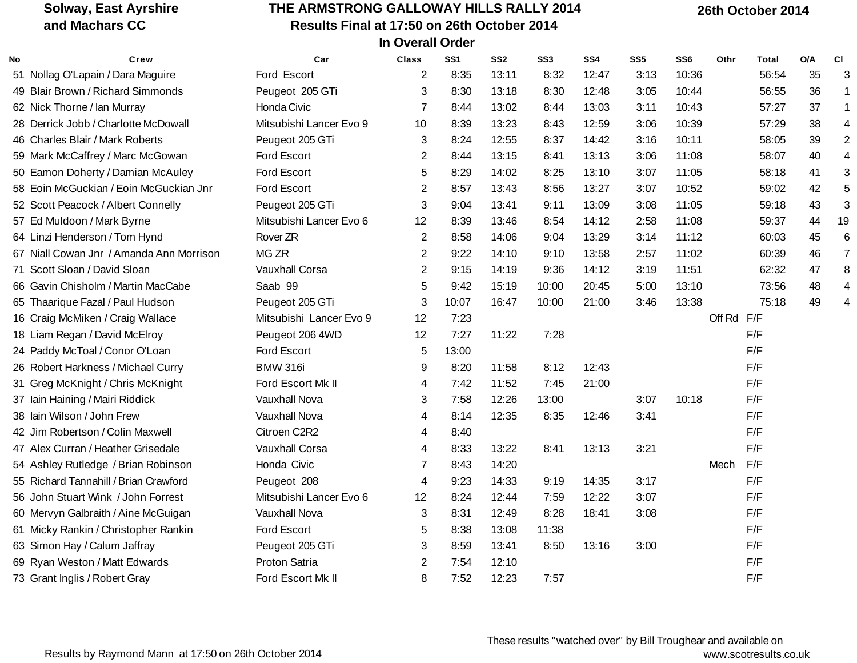#### **THE ARMSTRONG GALLOWAY HILLS RALLY 2014 Results Final at 17:50 on 26th October 2014 In Overall Order**

 **26th October 2014**

| No | Crew                                     | Car                     | Class          | SS <sub>1</sub> | SS <sub>2</sub> | SS <sub>3</sub> | SS4   | SS <sub>5</sub> | SS <sub>6</sub> | Othr       | Total | O/A | <b>CI</b>   |
|----|------------------------------------------|-------------------------|----------------|-----------------|-----------------|-----------------|-------|-----------------|-----------------|------------|-------|-----|-------------|
|    | 51 Nollag O'Lapain / Dara Maguire        | Ford Escort             | 2              | 8:35            | 13:11           | 8:32            | 12:47 | 3:13            | 10:36           |            | 56:54 | 35  | 3           |
|    | 49 Blair Brown / Richard Simmonds        | Peugeot 205 GTi         | 3              | 8:30            | 13:18           | 8:30            | 12:48 | 3:05            | 10:44           |            | 56:55 | 36  | 1           |
|    | 62 Nick Thorne / Ian Murray              | Honda Civic             | 7              | 8:44            | 13:02           | 8:44            | 13:03 | 3:11            | 10:43           |            | 57:27 | 37  | $\mathbf 1$ |
|    | 28 Derrick Jobb / Charlotte McDowall     | Mitsubishi Lancer Evo 9 | 10             | 8:39            | 13:23           | 8:43            | 12:59 | 3:06            | 10:39           |            | 57:29 | 38  | 4           |
|    | 46 Charles Blair / Mark Roberts          | Peugeot 205 GTi         | 3              | 8:24            | 12:55           | 8:37            | 14:42 | 3:16            | 10:11           |            | 58:05 | 39  |             |
|    | 59 Mark McCaffrey / Marc McGowan         | Ford Escort             | 2              | 8:44            | 13:15           | 8:41            | 13:13 | 3:06            | 11:08           |            | 58:07 | 40  |             |
|    | 50 Eamon Doherty / Damian McAuley        | Ford Escort             | 5              | 8:29            | 14:02           | 8:25            | 13:10 | 3:07            | 11:05           |            | 58:18 | 41  |             |
|    | 58 Eoin McGuckian / Eoin McGuckian Jnr   | Ford Escort             | 2              | 8:57            | 13:43           | 8:56            | 13:27 | 3:07            | 10:52           |            | 59:02 | 42  |             |
|    | 52 Scott Peacock / Albert Connelly       | Peugeot 205 GTi         | 3              | 9:04            | 13:41           | 9:11            | 13:09 | 3:08            | 11:05           |            | 59:18 | 43  | 3           |
|    | 57 Ed Muldoon / Mark Byrne               | Mitsubishi Lancer Evo 6 | 12             | 8:39            | 13:46           | 8:54            | 14:12 | 2:58            | 11:08           |            | 59:37 | 44  | 19          |
|    | 64 Linzi Henderson / Tom Hynd            | Rover ZR                | $\overline{2}$ | 8:58            | 14:06           | 9:04            | 13:29 | 3:14            | 11:12           |            | 60:03 | 45  | 6           |
|    | 67 Niall Cowan Jnr / Amanda Ann Morrison | MG ZR                   | $\overline{2}$ | 9:22            | 14:10           | 9:10            | 13:58 | 2:57            | 11:02           |            | 60:39 | 46  | 7           |
|    | 71 Scott Sloan / David Sloan             | <b>Vauxhall Corsa</b>   | 2              | 9:15            | 14:19           | 9:36            | 14:12 | 3:19            | 11:51           |            | 62:32 | 47  | 8           |
|    | 66 Gavin Chisholm / Martin MacCabe       | Saab 99                 | 5              | 9:42            | 15:19           | 10:00           | 20:45 | 5:00            | 13:10           |            | 73:56 | 48  |             |
|    | 65 Thaarique Fazal / Paul Hudson         | Peugeot 205 GTi         | 3              | 10:07           | 16:47           | 10:00           | 21:00 | 3:46            | 13:38           |            | 75:18 | 49  |             |
|    | 16 Craig McMiken / Craig Wallace         | Mitsubishi Lancer Evo 9 | 12             | 7:23            |                 |                 |       |                 |                 | Off Rd F/F |       |     |             |
|    | 18 Liam Regan / David McElroy            | Peugeot 206 4WD         | 12             | 7:27            | 11:22           | 7:28            |       |                 |                 |            | F/F   |     |             |
|    | 24 Paddy McToal / Conor O'Loan           | Ford Escort             | 5              | 13:00           |                 |                 |       |                 |                 |            | F/F   |     |             |
|    | 26 Robert Harkness / Michael Curry       | <b>BMW 316i</b>         | 9              | 8:20            | 11:58           | 8:12            | 12:43 |                 |                 |            | F/F   |     |             |
|    | 31 Greg McKnight / Chris McKnight        | Ford Escort Mk II       | 4              | 7:42            | 11:52           | 7:45            | 21:00 |                 |                 |            | F/F   |     |             |
|    | 37 Iain Haining / Mairi Riddick          | <b>Vauxhall Nova</b>    | 3              | 7:58            | 12:26           | 13:00           |       | 3:07            | 10:18           |            | F/F   |     |             |
|    | 38 Iain Wilson / John Frew               | <b>Vauxhall Nova</b>    | 4              | 8:14            | 12:35           | 8:35            | 12:46 | 3:41            |                 |            | F/F   |     |             |
|    | 42 Jim Robertson / Colin Maxwell         | Citroen C2R2            | 4              | 8:40            |                 |                 |       |                 |                 |            | F/F   |     |             |
|    | 47 Alex Curran / Heather Grisedale       | <b>Vauxhall Corsa</b>   | 4              | 8:33            | 13:22           | 8:41            | 13:13 | 3:21            |                 |            | F/F   |     |             |
|    | 54 Ashley Rutledge / Brian Robinson      | Honda Civic             | 7              | 8:43            | 14:20           |                 |       |                 |                 | Mech       | F/F   |     |             |
|    | 55 Richard Tannahill / Brian Crawford    | Peugeot 208             | 4              | 9:23            | 14:33           | 9:19            | 14:35 | 3:17            |                 |            | F/F   |     |             |
|    | 56 John Stuart Wink / John Forrest       | Mitsubishi Lancer Evo 6 | 12             | 8:24            | 12:44           | 7:59            | 12:22 | 3:07            |                 |            | F/F   |     |             |
|    | 60 Mervyn Galbraith / Aine McGuigan      | Vauxhall Nova           | 3              | 8:31            | 12:49           | 8:28            | 18:41 | 3:08            |                 |            | F/F   |     |             |
|    | 61 Micky Rankin / Christopher Rankin     | Ford Escort             | 5              | 8:38            | 13:08           | 11:38           |       |                 |                 |            | F/F   |     |             |
|    | 63 Simon Hay / Calum Jaffray             | Peugeot 205 GTi         | 3              | 8:59            | 13:41           | 8:50            | 13:16 | 3:00            |                 |            | F/F   |     |             |
|    | 69 Ryan Weston / Matt Edwards            | Proton Satria           | 2              | 7:54            | 12:10           |                 |       |                 |                 |            | F/F   |     |             |
|    | 73 Grant Inglis / Robert Gray            | Ford Escort Mk II       | 8              | 7:52            | 12:23           | 7:57            |       |                 |                 |            | F/F   |     |             |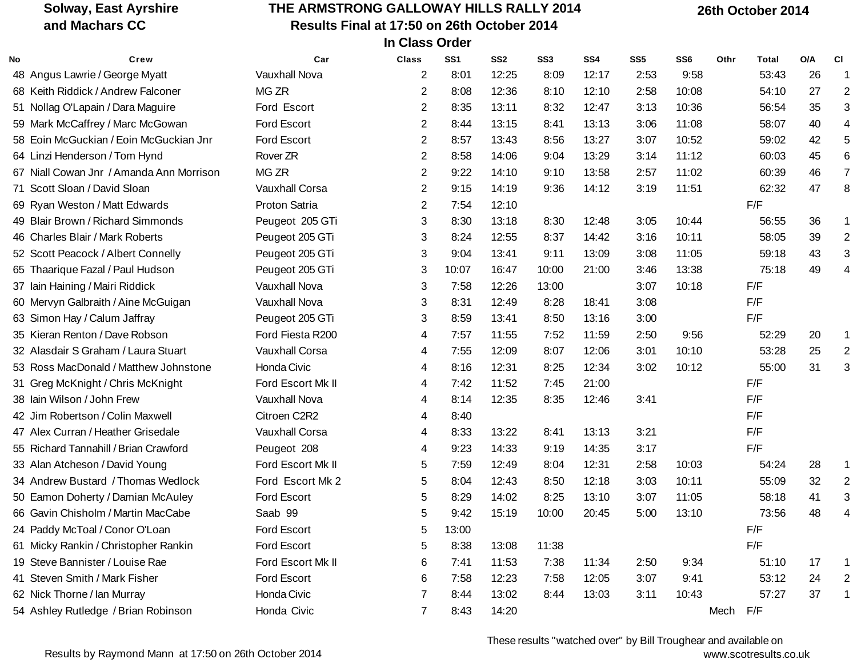## **THE ARMSTRONG GALLOWAY HILLS RALLY 2014 Results Final at 17:50 on 26th October 2014 In Class Order**

 **26th October 2014**

| No | Crew                                     | Car                  | Class                 | SS1   | SS <sub>2</sub> | SS <sub>3</sub> | SS <sub>4</sub> | SS <sub>5</sub> | SS <sub>6</sub> | Othr     | Total | O/A | <b>CI</b>      |
|----|------------------------------------------|----------------------|-----------------------|-------|-----------------|-----------------|-----------------|-----------------|-----------------|----------|-------|-----|----------------|
|    | 48 Angus Lawrie / George Myatt           | Vauxhall Nova        | 2                     | 8:01  | 12:25           | 8:09            | 12:17           | 2:53            | 9:58            |          | 53:43 | 26  | 1              |
|    | 68 Keith Riddick / Andrew Falconer       | MG ZR                | 2                     | 8:08  | 12:36           | 8:10            | 12:10           | 2:58            | 10:08           |          | 54:10 | 27  | $\overline{2}$ |
|    | 51 Nollag O'Lapain / Dara Maguire        | Ford Escort          | $\mathbf{2}^{\prime}$ | 8:35  | 13:11           | 8:32            | 12:47           | 3:13            | 10:36           |          | 56:54 | 35  |                |
|    | 59 Mark McCaffrey / Marc McGowan         | Ford Escort          | 2                     | 8:44  | 13:15           | 8:41            | 13:13           | 3:06            | 11:08           |          | 58:07 | 40  |                |
|    | 58 Eoin McGuckian / Eoin McGuckian Jnr   | Ford Escort          | 2                     | 8:57  | 13:43           | 8:56            | 13:27           | 3:07            | 10:52           |          | 59:02 | 42  |                |
|    | 64 Linzi Henderson / Tom Hynd            | Rover ZR             | 2                     | 8:58  | 14:06           | 9:04            | 13:29           | 3:14            | 11:12           |          | 60:03 | 45  |                |
|    | 67 Niall Cowan Jnr / Amanda Ann Morrison | MG <sub>ZR</sub>     | 2                     | 9:22  | 14:10           | 9:10            | 13:58           | 2:57            | 11:02           |          | 60:39 | 46  |                |
|    | 71 Scott Sloan / David Sloan             | Vauxhall Corsa       | 2                     | 9:15  | 14:19           | 9:36            | 14:12           | 3:19            | 11:51           |          | 62:32 | 47  | 8              |
|    | 69 Ryan Weston / Matt Edwards            | Proton Satria        | $\mathbf{2}^{\prime}$ | 7:54  | 12:10           |                 |                 |                 |                 |          | F/F   |     |                |
|    | 49 Blair Brown / Richard Simmonds        | Peugeot 205 GTi      | 3                     | 8:30  | 13:18           | 8:30            | 12:48           | 3:05            | 10:44           |          | 56:55 | 36  |                |
|    | 46 Charles Blair / Mark Roberts          | Peugeot 205 GTi      | 3                     | 8:24  | 12:55           | 8:37            | 14:42           | 3:16            | 10:11           |          | 58:05 | 39  | 2              |
|    | 52 Scott Peacock / Albert Connelly       | Peugeot 205 GTi      | 3                     | 9:04  | 13:41           | 9:11            | 13:09           | 3:08            | 11:05           |          | 59:18 | 43  |                |
|    | 65 Thaarique Fazal / Paul Hudson         | Peugeot 205 GTi      | 3                     | 10:07 | 16:47           | 10:00           | 21:00           | 3:46            | 13:38           |          | 75:18 | 49  |                |
|    | 37 Iain Haining / Mairi Riddick          | <b>Vauxhall Nova</b> | 3                     | 7:58  | 12:26           | 13:00           |                 | 3:07            | 10:18           |          | F/F   |     |                |
|    | 60 Mervyn Galbraith / Aine McGuigan      | <b>Vauxhall Nova</b> | 3                     | 8:31  | 12:49           | 8:28            | 18:41           | 3:08            |                 |          | F/F   |     |                |
|    | 63 Simon Hay / Calum Jaffray             | Peugeot 205 GTi      | 3                     | 8:59  | 13:41           | 8:50            | 13:16           | 3:00            |                 |          | F/F   |     |                |
|    | 35 Kieran Renton / Dave Robson           | Ford Fiesta R200     | 4                     | 7:57  | 11:55           | 7:52            | 11:59           | 2:50            | 9:56            |          | 52:29 | 20  | 1              |
|    | 32 Alasdair S Graham / Laura Stuart      | Vauxhall Corsa       | 4                     | 7:55  | 12:09           | 8:07            | 12:06           | 3:01            | 10:10           |          | 53:28 | 25  |                |
|    | 53 Ross MacDonald / Matthew Johnstone    | Honda Civic          | 4                     | 8:16  | 12:31           | 8:25            | 12:34           | 3:02            | 10:12           |          | 55:00 | 31  | 3              |
|    | 31 Greg McKnight / Chris McKnight        | Ford Escort Mk II    | 4                     | 7:42  | 11:52           | 7:45            | 21:00           |                 |                 |          | F/F   |     |                |
|    | 38 Iain Wilson / John Frew               | Vauxhall Nova        | 4                     | 8:14  | 12:35           | 8:35            | 12:46           | 3:41            |                 |          | F/F   |     |                |
|    | 42 Jim Robertson / Colin Maxwell         | Citroen C2R2         | 4                     | 8:40  |                 |                 |                 |                 |                 |          | F/F   |     |                |
|    | 47 Alex Curran / Heather Grisedale       | Vauxhall Corsa       | 4                     | 8:33  | 13:22           | 8:41            | 13:13           | 3:21            |                 |          | F/F   |     |                |
|    | 55 Richard Tannahill / Brian Crawford    | Peugeot 208          | 4                     | 9:23  | 14:33           | 9:19            | 14:35           | 3:17            |                 |          | F/F   |     |                |
|    | 33 Alan Atcheson / David Young           | Ford Escort Mk II    | 5                     | 7:59  | 12:49           | 8:04            | 12:31           | 2:58            | 10:03           |          | 54:24 | 28  | 1              |
|    | 34 Andrew Bustard / Thomas Wedlock       | Ford Escort Mk 2     | 5                     | 8:04  | 12:43           | 8:50            | 12:18           | 3:03            | 10:11           |          | 55:09 | 32  | $\overline{2}$ |
|    | 50 Eamon Doherty / Damian McAuley        | Ford Escort          | 5                     | 8:29  | 14:02           | 8:25            | 13:10           | 3:07            | 11:05           |          | 58:18 | 41  |                |
|    | 66 Gavin Chisholm / Martin MacCabe       | Saab 99              | 5                     | 9:42  | 15:19           | 10:00           | 20:45           | 5:00            | 13:10           |          | 73:56 | 48  |                |
|    | 24 Paddy McToal / Conor O'Loan           | Ford Escort          | 5                     | 13:00 |                 |                 |                 |                 |                 |          | F/F   |     |                |
|    | 61 Micky Rankin / Christopher Rankin     | Ford Escort          | 5                     | 8:38  | 13:08           | 11:38           |                 |                 |                 |          | F/F   |     |                |
|    | 19 Steve Bannister / Louise Rae          | Ford Escort Mk II    | 6                     | 7:41  | 11:53           | 7:38            | 11:34           | 2:50            | 9:34            |          | 51:10 | 17  | 1              |
|    | 41 Steven Smith / Mark Fisher            | Ford Escort          | 6                     | 7:58  | 12:23           | 7:58            | 12:05           | 3:07            | 9:41            |          | 53:12 | 24  |                |
|    | 62 Nick Thorne / Ian Murray              | Honda Civic          | 7                     | 8:44  | 13:02           | 8:44            | 13:03           | 3:11            | 10:43           |          | 57:27 | 37  |                |
|    | 54 Ashley Rutledge / Brian Robinson      | Honda Civic          | $\overline{7}$        | 8:43  | 14:20           |                 |                 |                 |                 | Mech F/F |       |     |                |

These results "watched over" by Bill Troughear and available on www.scotresults.co.uk

Results by Raymond Mann at 17:50 on 26th October 2014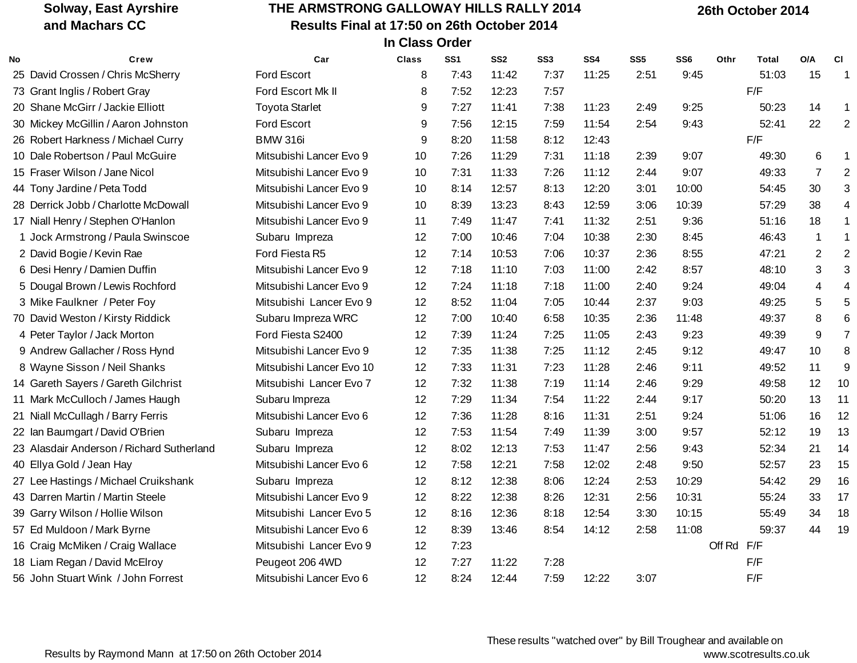## **THE ARMSTRONG GALLOWAY HILLS RALLY 2014 Results Final at 17:50 on 26th October 2014 In Class Order**

 **26th October 2014**

| No | Crew                                      | Car                      | <b>Class</b> | SS <sub>1</sub> | SS <sub>2</sub> | SS <sub>3</sub> | SS4   | SS <sub>5</sub> | SS <sub>6</sub> | Othr       | <b>Total</b> | O/A            | <b>CI</b>      |
|----|-------------------------------------------|--------------------------|--------------|-----------------|-----------------|-----------------|-------|-----------------|-----------------|------------|--------------|----------------|----------------|
|    | 25 David Crossen / Chris McSherry         | Ford Escort              | 8            | 7:43            | 11:42           | 7:37            | 11:25 | 2:51            | 9:45            |            | 51:03        | 15             | 1              |
|    | 73 Grant Inglis / Robert Gray             | Ford Escort Mk II        | 8            | 7:52            | 12:23           | 7:57            |       |                 |                 |            | F/F          |                |                |
|    | 20 Shane McGirr / Jackie Elliott          | <b>Toyota Starlet</b>    | 9            | 7:27            | 11:41           | 7:38            | 11:23 | 2:49            | 9:25            |            | 50:23        | 14             | 1              |
|    | 30 Mickey McGillin / Aaron Johnston       | Ford Escort              | 9            | 7:56            | 12:15           | 7:59            | 11:54 | 2:54            | 9:43            |            | 52:41        | 22             | $\overline{2}$ |
|    | 26 Robert Harkness / Michael Curry        | <b>BMW 316i</b>          | 9            | 8:20            | 11:58           | 8:12            | 12:43 |                 |                 |            | F/F          |                |                |
|    | 10 Dale Robertson / Paul McGuire          | Mitsubishi Lancer Evo 9  | 10           | 7:26            | 11:29           | 7:31            | 11:18 | 2:39            | 9:07            |            | 49:30        | 6              | 1              |
|    | 15 Fraser Wilson / Jane Nicol             | Mitsubishi Lancer Evo 9  | 10           | 7:31            | 11:33           | 7:26            | 11:12 | 2:44            | 9:07            |            | 49:33        | $\overline{7}$ | $\overline{2}$ |
|    | 44 Tony Jardine / Peta Todd               | Mitsubishi Lancer Evo 9  | 10           | 8:14            | 12:57           | 8:13            | 12:20 | 3:01            | 10:00           |            | 54:45        | 30             |                |
|    | 28 Derrick Jobb / Charlotte McDowall      | Mitsubishi Lancer Evo 9  | 10           | 8:39            | 13:23           | 8:43            | 12:59 | 3:06            | 10:39           |            | 57:29        | 38             | 4              |
|    | 17 Niall Henry / Stephen O'Hanlon         | Mitsubishi Lancer Evo 9  | 11           | 7:49            | 11:47           | 7:41            | 11:32 | 2:51            | 9:36            |            | 51:16        | 18             |                |
|    | 1 Jock Armstrong / Paula Swinscoe         | Subaru Impreza           | 12           | 7:00            | 10:46           | 7:04            | 10:38 | 2:30            | 8:45            |            | 46:43        | $\mathbf{1}$   | 1              |
|    | 2 David Bogie / Kevin Rae                 | Ford Fiesta R5           | 12           | 7:14            | 10:53           | 7:06            | 10:37 | 2:36            | 8:55            |            | 47:21        | $\sqrt{2}$     |                |
|    | 6 Desi Henry / Damien Duffin              | Mitsubishi Lancer Evo 9  | 12           | 7:18            | 11:10           | 7:03            | 11:00 | 2:42            | 8:57            |            | 48:10        | 3              | 3              |
|    | 5 Dougal Brown / Lewis Rochford           | Mitsubishi Lancer Evo 9  | 12           | 7:24            | 11:18           | 7:18            | 11:00 | 2:40            | 9:24            |            | 49:04        | 4              |                |
|    | 3 Mike Faulkner / Peter Foy               | Mitsubishi Lancer Evo 9  | 12           | 8:52            | 11:04           | 7:05            | 10:44 | 2:37            | 9:03            |            | 49:25        | 5              |                |
|    | 70 David Weston / Kirsty Riddick          | Subaru Impreza WRC       | 12           | 7:00            | 10:40           | 6:58            | 10:35 | 2:36            | 11:48           |            | 49:37        | $\bf 8$        | 6              |
|    | 4 Peter Taylor / Jack Morton              | Ford Fiesta S2400        | 12           | 7:39            | 11:24           | 7:25            | 11:05 | 2:43            | 9:23            |            | 49:39        | $\overline{9}$ | $\overline{7}$ |
|    | 9 Andrew Gallacher / Ross Hynd            | Mitsubishi Lancer Evo 9  | 12           | 7:35            | 11:38           | 7:25            | 11:12 | 2:45            | 9:12            |            | 49:47        | $10$           | 8              |
|    | 8 Wayne Sisson / Neil Shanks              | Mitsubishi Lancer Evo 10 | 12           | 7:33            | 11:31           | 7:23            | 11:28 | 2:46            | 9:11            |            | 49:52        | 11             | 9              |
|    | 14 Gareth Sayers / Gareth Gilchrist       | Mitsubishi Lancer Evo 7  | 12           | 7:32            | 11:38           | 7:19            | 11:14 | 2:46            | 9:29            |            | 49:58        | 12             | 10             |
|    | 11 Mark McCulloch / James Haugh           | Subaru Impreza           | 12           | 7:29            | 11:34           | 7:54            | 11:22 | 2:44            | 9:17            |            | 50:20        | 13             | 11             |
|    | 21 Niall McCullagh / Barry Ferris         | Mitsubishi Lancer Evo 6  | 12           | 7:36            | 11:28           | 8:16            | 11:31 | 2:51            | 9:24            |            | 51:06        | 16             | 12             |
|    | 22 Ian Baumgart / David O'Brien           | Subaru Impreza           | 12           | 7:53            | 11:54           | 7:49            | 11:39 | 3:00            | 9:57            |            | 52:12        | 19             | 13             |
|    | 23 Alasdair Anderson / Richard Sutherland | Subaru Impreza           | 12           | 8:02            | 12:13           | 7:53            | 11:47 | 2:56            | 9:43            |            | 52:34        | 21             | 14             |
|    | 40 Ellya Gold / Jean Hay                  | Mitsubishi Lancer Evo 6  | 12           | 7:58            | 12:21           | 7:58            | 12:02 | 2:48            | 9:50            |            | 52:57        | 23             | 15             |
|    | 27 Lee Hastings / Michael Cruikshank      | Subaru Impreza           | 12           | 8:12            | 12:38           | 8:06            | 12:24 | 2:53            | 10:29           |            | 54:42        | 29             | 16             |
|    | 43 Darren Martin / Martin Steele          | Mitsubishi Lancer Evo 9  | 12           | 8:22            | 12:38           | 8:26            | 12:31 | 2:56            | 10:31           |            | 55:24        | 33             | 17             |
|    | 39 Garry Wilson / Hollie Wilson           | Mitsubishi Lancer Evo 5  | 12           | 8:16            | 12:36           | 8:18            | 12:54 | 3:30            | 10:15           |            | 55:49        | 34             | 18             |
|    | 57 Ed Muldoon / Mark Byrne                | Mitsubishi Lancer Evo 6  | 12           | 8:39            | 13:46           | 8:54            | 14:12 | 2:58            | 11:08           |            | 59:37        | 44             | 19             |
|    | 16 Craig McMiken / Craig Wallace          | Mitsubishi Lancer Evo 9  | 12           | 7:23            |                 |                 |       |                 |                 | Off Rd F/F |              |                |                |
|    | 18 Liam Regan / David McElroy             | Peugeot 206 4WD          | 12           | 7:27            | 11:22           | 7:28            |       |                 |                 |            | F/F          |                |                |
|    | 56 John Stuart Wink / John Forrest        | Mitsubishi Lancer Evo 6  | 12           | 8:24            | 12:44           | 7:59            | 12:22 | 3:07            |                 |            | F/F          |                |                |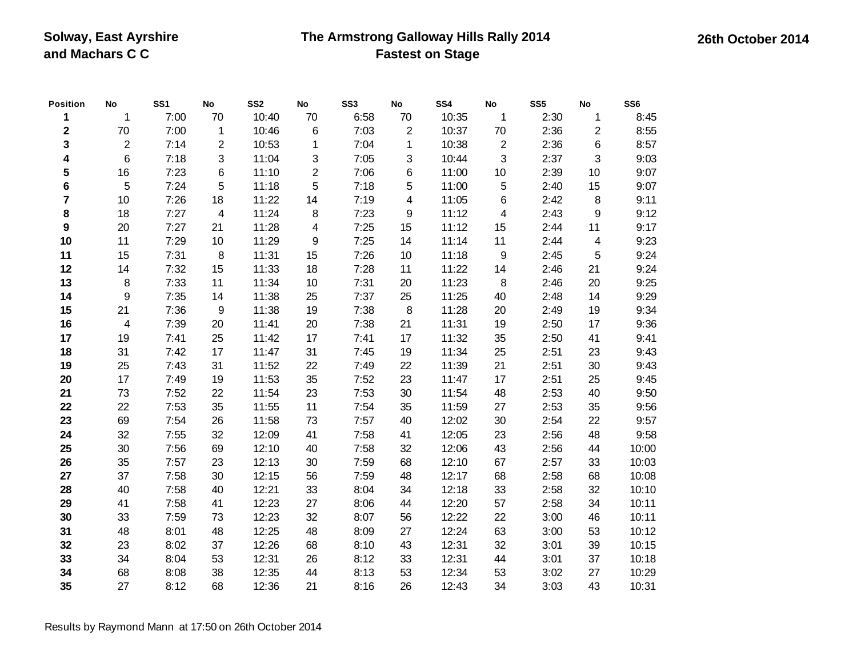### **The Armstrong Galloway Hills Rally 2014 Fastest on Stage**

**Position No SS1 No SS2 No SS3 No SS4 No SS5 No SS6** 1 7:00 70 10:40 70 6:58 70 10:35 1 2:30 1 8:45 70 7:00 1 10:46 6 7:03 2 10:37 70 2:36 2 8:55 2 7:14 2 10:53 1 7:04 1 10:38 2 2:36 6 8:57 6 7:18 3 11:04 3 7:05 3 10:44 3 2:37 3 9:03 16 7:23 6 11:10 2 7:06 6 11:00 10 2:39 10 9:07 5 7:24 5 11:18 5 7:18 5 11:00 5 2:40 15 9:07 10 7:26 18 11:22 14 7:19 4 11:05 6 2:42 8 9:11 18 7:27 4 11:24 8 7:23 9 11:12 4 2:43 9 9:12 20 7:27 21 11:28 4 7:25 15 11:12 15 2:44 11 9:17 11 7:29 10 11:29 9 7:25 14 11:14 11 2:44 4 9:23 15 7:31 8 11:31 15 7:26 10 11:18 9 2:45 5 9:24 14 7:32 15 11:33 18 7:28 11 11:22 14 2:46 21 9:24 8 7:33 11 11:34 10 7:31 20 11:23 8 2:46 20 9:25 9 7:35 14 11:38 25 7:37 25 11:25 40 2:48 14 9:29 21 7:36 9 11:38 19 7:38 8 11:28 20 2:49 19 9:34 4 7:39 20 11:41 20 7:38 21 11:31 19 2:50 17 9:36 19 7:41 25 11:42 17 7:41 17 11:32 35 2:50 41 9:41 31 7:42 17 11:47 31 7:45 19 11:34 25 2:51 23 9:43 25 7:43 31 11:52 22 7:49 22 11:39 21 2:51 30 9:43 17 7:49 19 11:53 35 7:52 23 11:47 17 2:51 25 9:45 73 7:52 22 11:54 23 7:53 30 11:54 48 2:53 40 9:50 22 7:53 35 11:55 11 7:54 35 11:59 27 2:53 35 9:56 69 7:54 26 11:58 73 7:57 40 12:02 30 2:54 22 9:57 32 7:55 32 12:09 41 7:58 41 12:05 23 2:56 48 9:58 30 7:56 69 12:10 40 7:58 32 12:06 43 2:56 44 10:00 35 7:57 23 12:13 30 7:59 68 12:10 67 2:57 33 10:03 37 7:58 30 12:15 56 7:59 48 12:17 68 2:58 68 10:08 40 7:58 40 12:21 33 8:04 34 12:18 33 2:58 32 10:10 41 7:58 41 12:23 27 8:06 44 12:20 57 2:58 34 10:11 33 7:59 73 12:23 32 8:07 56 12:22 22 3:00 46 10:11 48 8:01 48 12:25 48 8:09 27 12:24 63 3:00 53 10:12 23 8:02 37 12:26 68 8:10 43 12:31 32 3:01 39 10:15 34 8:04 53 12:31 26 8:12 33 12:31 44 3:01 37 10:18 68 8:08 38 12:35 44 8:13 53 12:34 53 3:02 27 10:29 27 8:12 68 12:36 21 8:16 26 12:43 34 3:03 43 10:31